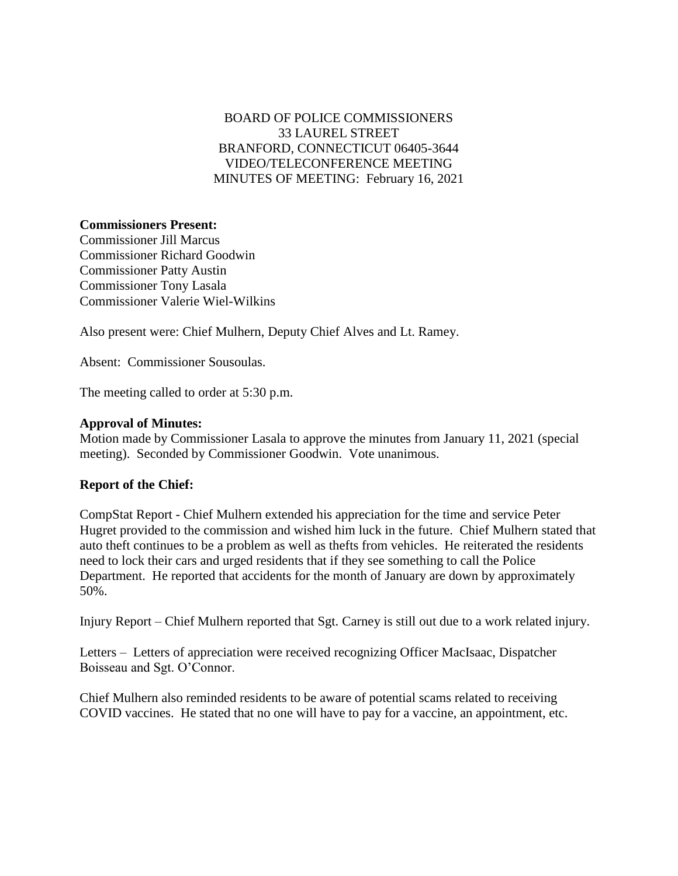# BOARD OF POLICE COMMISSIONERS 33 LAUREL STREET BRANFORD, CONNECTICUT 06405-3644 VIDEO/TELECONFERENCE MEETING MINUTES OF MEETING: February 16, 2021

## **Commissioners Present:**

Commissioner Jill Marcus Commissioner Richard Goodwin Commissioner Patty Austin Commissioner Tony Lasala Commissioner Valerie Wiel-Wilkins

Also present were: Chief Mulhern, Deputy Chief Alves and Lt. Ramey.

Absent: Commissioner Sousoulas.

The meeting called to order at 5:30 p.m.

#### **Approval of Minutes:**

Motion made by Commissioner Lasala to approve the minutes from January 11, 2021 (special meeting). Seconded by Commissioner Goodwin. Vote unanimous.

### **Report of the Chief:**

CompStat Report - Chief Mulhern extended his appreciation for the time and service Peter Hugret provided to the commission and wished him luck in the future. Chief Mulhern stated that auto theft continues to be a problem as well as thefts from vehicles. He reiterated the residents need to lock their cars and urged residents that if they see something to call the Police Department. He reported that accidents for the month of January are down by approximately 50%.

Injury Report – Chief Mulhern reported that Sgt. Carney is still out due to a work related injury.

Letters – Letters of appreciation were received recognizing Officer MacIsaac, Dispatcher Boisseau and Sgt. O'Connor.

Chief Mulhern also reminded residents to be aware of potential scams related to receiving COVID vaccines. He stated that no one will have to pay for a vaccine, an appointment, etc.